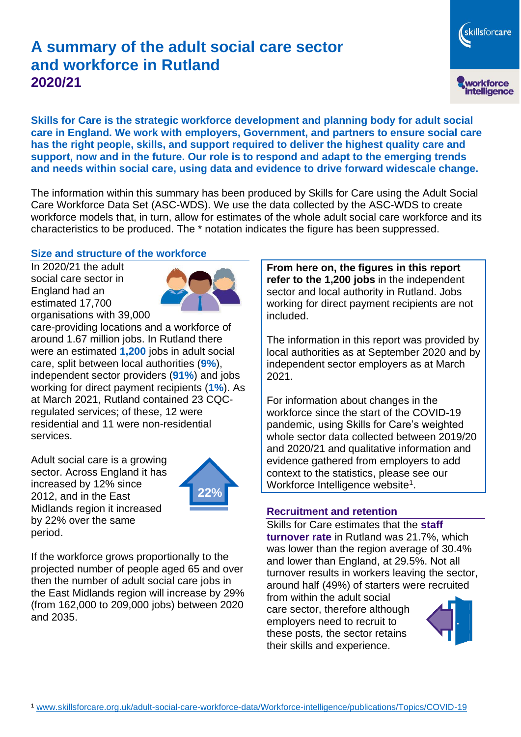# **A summary of the adult social care sector and workforce in Rutland 2020/21**

**Skills for Care is the strategic workforce development and planning body for adult social care in England. We work with employers, Government, and partners to ensure social care has the right people, skills, and support required to deliver the highest quality care and support, now and in the future. Our role is to respond and adapt to the emerging trends and needs within social care, using data and evidence to drive forward widescale change.**

The information within this summary has been produced by Skills for Care using the Adult Social Care Workforce Data Set (ASC-WDS). We use the data collected by the ASC-WDS to create workforce models that, in turn, allow for estimates of the whole adult social care workforce and its characteristics to be produced. The \* notation indicates the figure has been suppressed.

#### **Size and structure of the workforce**

In 2020/21 the adult social care sector in England had an estimated 17,700 organisations with 39,000



care-providing locations and a workforce of around 1.67 million jobs. In Rutland there were an estimated **1,200** jobs in adult social care, split between local authorities (**9%**), independent sector providers (**91%**) and jobs working for direct payment recipients (**1%**). As at March 2021, Rutland contained 23 CQCregulated services; of these, 12 were residential and 11 were non-residential services.

Adult social care is a growing sector. Across England it has increased by 12% since 2012, and in the East Midlands region it increased by 22% over the same period.



If the workforce grows proportionally to the projected number of people aged 65 and over then the number of adult social care jobs in the East Midlands region will increase by 29% (from 162,000 to 209,000 jobs) between 2020 and 2035.

**From here on, the figures in this report refer to the 1,200 jobs** in the independent sector and local authority in Rutland. Jobs working for direct payment recipients are not included.

The information in this report was provided by local authorities as at September 2020 and by independent sector employers as at March 2021.

For information about changes in the workforce since the start of the COVID-19 pandemic, using Skills for Care's weighted whole sector data collected between 2019/20 and 2020/21 and qualitative information and evidence gathered from employers to add context to the statistics, please see our Workforce Intelligence website<sup>1</sup>.

#### **Recruitment and retention**

Skills for Care estimates that the **staff turnover rate** in Rutland was 21.7%, which was lower than the region average of 30.4% and lower than England, at 29.5%. Not all turnover results in workers leaving the sector, around half (49%) of starters were recruited

from within the adult social care sector, therefore although employers need to recruit to these posts, the sector retains their skills and experience.



skillsforcare

workforce<br>intelligence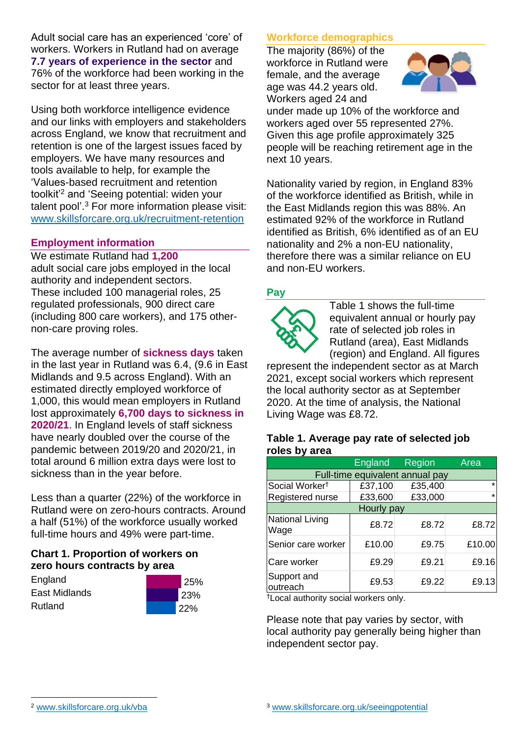Adult social care has an experienced 'core' of workers. Workers in Rutland had on average **7.7 years of experience in the sector** and 76% of the workforce had been working in the sector for at least three years.

Using both workforce intelligence evidence and our links with employers and stakeholders across England, we know that recruitment and retention is one of the largest issues faced by employers. We have many resources and tools available to help, for example the 'Values-based recruitment and retention toolkit'<sup>2</sup> and 'Seeing potential: widen your talent pool'. <sup>3</sup> For more information please visit: [www.skillsforcare.org.uk/recruitment-retention](http://www.skillsforcare.org.uk/recruitment-retention)

### **Employment information**

We estimate Rutland had **1,200** adult social care jobs employed in the local authority and independent sectors. These included 100 managerial roles, 25 regulated professionals, 900 direct care (including 800 care workers), and 175 othernon-care proving roles.

The average number of **sickness days** taken in the last year in Rutland was 6.4, (9.6 in East Midlands and 9.5 across England). With an estimated directly employed workforce of 1,000, this would mean employers in Rutland lost approximately **6,700 days to sickness in 2020/21**. In England levels of staff sickness have nearly doubled over the course of the pandemic between 2019/20 and 2020/21, in total around 6 million extra days were lost to sickness than in the year before.

Less than a quarter (22%) of the workforce in Rutland were on zero-hours contracts. Around a half (51%) of the workforce usually worked full-time hours and 49% were part-time.

### **Chart 1. Proportion of workers on zero hours contracts by area**

**England** East Midlands Rutland



## **Workforce demographics**

The majority (86%) of the workforce in Rutland were female, and the average age was 44.2 years old. Workers aged 24 and



under made up 10% of the workforce and workers aged over 55 represented 27%. Given this age profile approximately 325 people will be reaching retirement age in the next 10 years.

Nationality varied by region, in England 83% of the workforce identified as British, while in the East Midlands region this was 88%. An estimated 92% of the workforce in Rutland identified as British, 6% identified as of an EU nationality and 2% a non-EU nationality, therefore there was a similar reliance on EU and non-EU workers.

### **Pay**



Table 1 shows the full-time equivalent annual or hourly pay rate of selected job roles in Rutland (area), East Midlands (region) and England. All figures

represent the independent sector as at March 2021, except social workers which represent the local authority sector as at September 2020. At the time of analysis, the National Living Wage was £8.72.

#### **Table 1. Average pay rate of selected job roles by area**

|                                 | England | Region  | Area    |
|---------------------------------|---------|---------|---------|
| Full-time equivalent annual pay |         |         |         |
| Social Worker <sup>†</sup>      | £37,100 | £35,400 | $\star$ |
| Registered nurse                | £33,600 | £33,000 | $\star$ |
| Hourly pay                      |         |         |         |
| National Living<br>Wage         | £8.72   | £8.72   | £8.72   |
| Senior care worker              | £10.00  | £9.75   | £10.00  |
| Care worker                     | £9.29   | £9.21   | £9.16   |
| Support and<br>outreach         | £9.53   | £9.22   | £9.13   |

†Local authority social workers only.

Please note that pay varies by sector, with local authority pay generally being higher than independent sector pay.